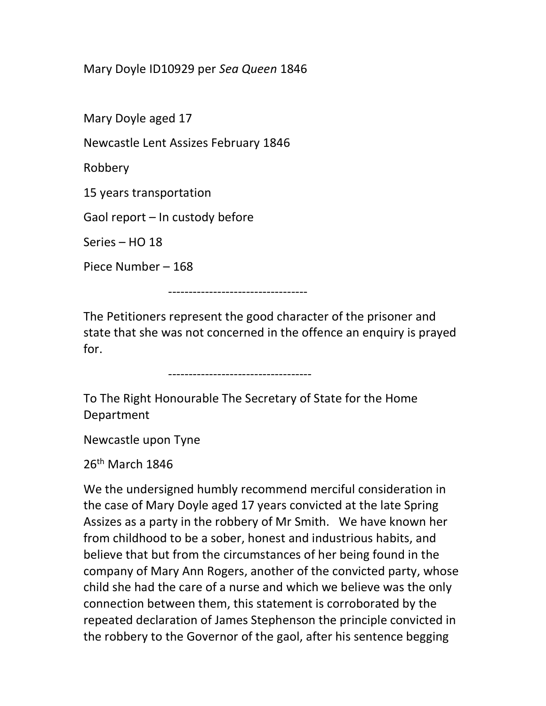## Mary Doyle ID10929 per Sea Queen 1846

Mary Doyle aged 17

Newcastle Lent Assizes February 1846

Robbery

15 years transportation

Gaol report – In custody before

Series – HO 18

Piece Number – 168

----------------------------------

The Petitioners represent the good character of the prisoner and state that she was not concerned in the offence an enquiry is prayed for.

-----------------------------------

To The Right Honourable The Secretary of State for the Home Department

Newcastle upon Tyne

 $26<sup>th</sup>$  March 1846

We the undersigned humbly recommend merciful consideration in the case of Mary Doyle aged 17 years convicted at the late Spring Assizes as a party in the robbery of Mr Smith. We have known her from childhood to be a sober, honest and industrious habits, and believe that but from the circumstances of her being found in the company of Mary Ann Rogers, another of the convicted party, whose child she had the care of a nurse and which we believe was the only connection between them, this statement is corroborated by the repeated declaration of James Stephenson the principle convicted in the robbery to the Governor of the gaol, after his sentence begging